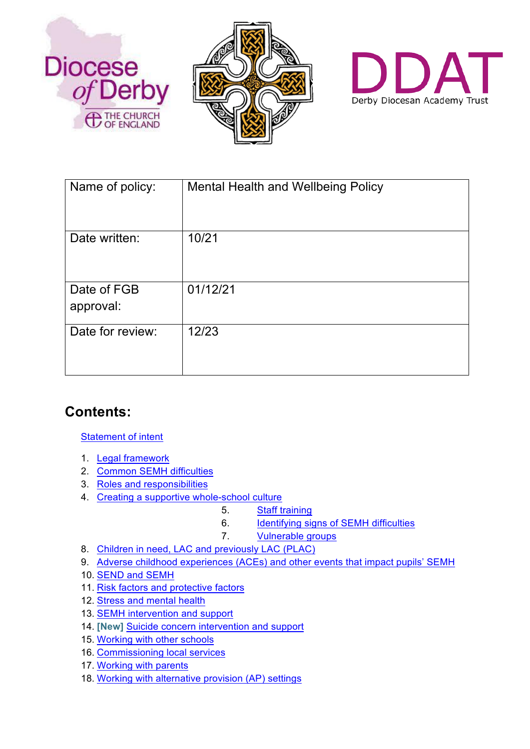





| Name of policy:          | Mental Health and Wellbeing Policy |
|--------------------------|------------------------------------|
| Date written:            | 10/21                              |
| Date of FGB<br>approval: | 01/12/21                           |
| Date for review:         | 12/23                              |

# **Contents:**

#### Statement of intent

- 1. Legal framework
- 2. Common SEMH difficulties
- 3. Roles and responsibilities
- 4. Creating a supportive whole-school culture
	- 5. Staff training
	- 6. Identifying signs of SEMH difficulties
	- 7. Vulnerable groups
- 8. Children in need, LAC and previously LAC (PLAC)
- 9. Adverse childhood experiences (ACEs) and other events that impact pupils' SEMH
- 10. SEND and SEMH
- 11. Risk factors and protective factors
- 12. Stress and mental health
- 13. SEMH intervention and support
- 14. **[New]** Suicide concern intervention and support
- 15. Working with other schools
- 16. Commissioning local services
- 17. Working with parents
- 18. Working with alternative provision (AP) settings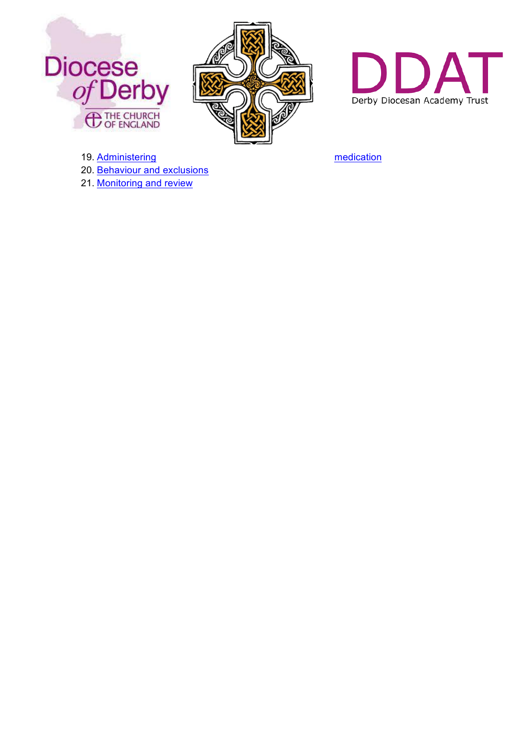





- 19. Administering and the state of the medication medication 20. Behaviour and exclusions
- 21. Monitoring and review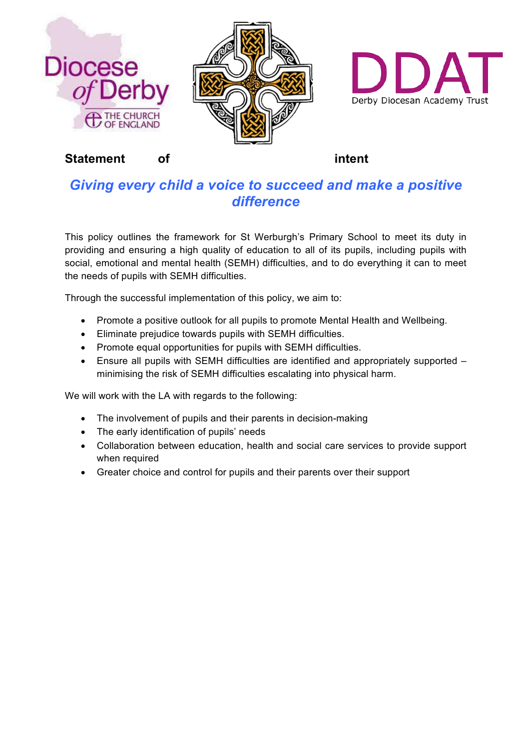





**Statement** of intent

# *Giving every child a voice to succeed and make a positive difference*

This policy outlines the framework for St Werburgh's Primary School to meet its duty in providing and ensuring a high quality of education to all of its pupils, including pupils with social, emotional and mental health (SEMH) difficulties, and to do everything it can to meet the needs of pupils with SEMH difficulties.

Through the successful implementation of this policy, we aim to:

- Promote a positive outlook for all pupils to promote Mental Health and Wellbeing.
- Eliminate prejudice towards pupils with SEMH difficulties.
- Promote equal opportunities for pupils with SEMH difficulties.
- Ensure all pupils with SEMH difficulties are identified and appropriately supported minimising the risk of SEMH difficulties escalating into physical harm.

We will work with the LA with regards to the following:

- The involvement of pupils and their parents in decision-making
- The early identification of pupils' needs
- Collaboration between education, health and social care services to provide support when required
- Greater choice and control for pupils and their parents over their support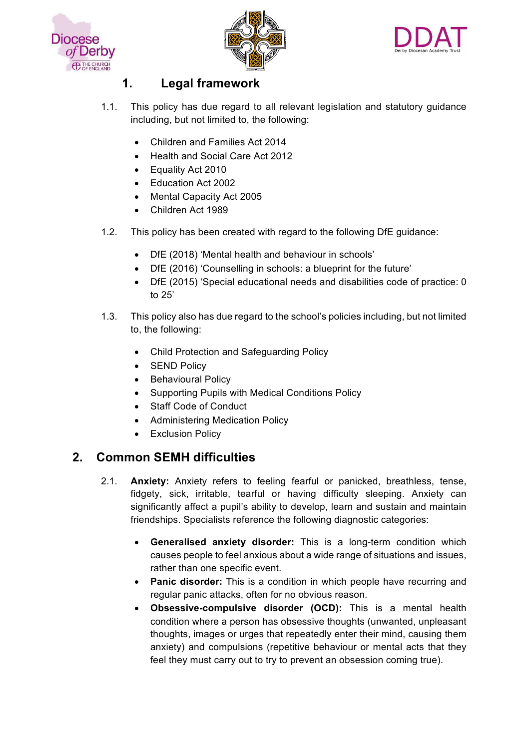





## **1. Legal framework**

- 1.1. This policy has due regard to all relevant legislation and statutory guidance including, but not limited to, the following:
	- Children and Families Act 2014
	- Health and Social Care Act 2012
	- Equality Act 2010
	- Education Act 2002
	- Mental Capacity Act 2005
	- Children Act 1989
- 1.2. This policy has been created with regard to the following DfE guidance:
	- DfE (2018) 'Mental health and behaviour in schools'
	- DfE (2016) 'Counselling in schools: a blueprint for the future'
	- DfE (2015) 'Special educational needs and disabilities code of practice: 0 to 25'
- 1.3. This policy also has due regard to the school's policies including, but not limited to, the following:
	- Child Protection and Safeguarding Policy
	- SEND Policy
	- Behavioural Policy
	- Supporting Pupils with Medical Conditions Policy
	- Staff Code of Conduct
	- Administering Medication Policy
	- Exclusion Policy

## **2. Common SEMH difficulties**

- 2.1. **Anxiety:** Anxiety refers to feeling fearful or panicked, breathless, tense, fidgety, sick, irritable, tearful or having difficulty sleeping. Anxiety can significantly affect a pupil's ability to develop, learn and sustain and maintain friendships. Specialists reference the following diagnostic categories:
	- **Generalised anxiety disorder:** This is a long-term condition which causes people to feel anxious about a wide range of situations and issues, rather than one specific event.
	- **Panic disorder:** This is a condition in which people have recurring and regular panic attacks, often for no obvious reason.
	- **Obsessive-compulsive disorder (OCD):** This is a mental health condition where a person has obsessive thoughts (unwanted, unpleasant thoughts, images or urges that repeatedly enter their mind, causing them anxiety) and compulsions (repetitive behaviour or mental acts that they feel they must carry out to try to prevent an obsession coming true).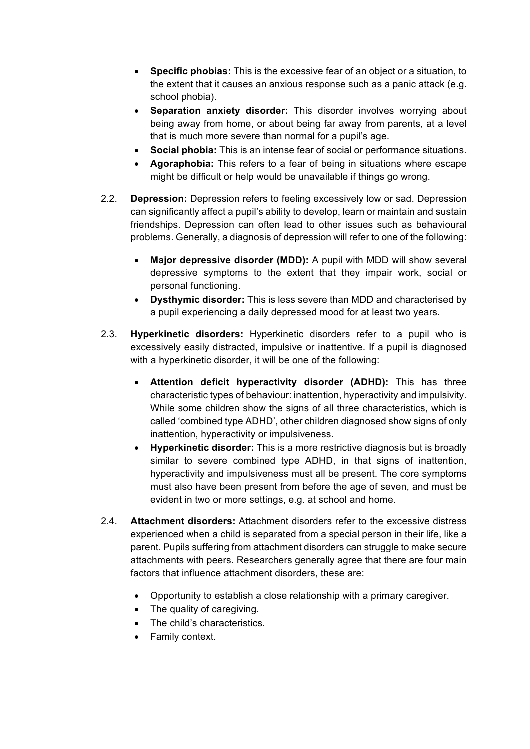- **Specific phobias:** This is the excessive fear of an object or a situation, to the extent that it causes an anxious response such as a panic attack (e.g. school phobia).
- **Separation anxiety disorder:** This disorder involves worrying about being away from home, or about being far away from parents, at a level that is much more severe than normal for a pupil's age.
- **Social phobia:** This is an intense fear of social or performance situations.
- **Agoraphobia:** This refers to a fear of being in situations where escape might be difficult or help would be unavailable if things go wrong.
- 2.2. **Depression:** Depression refers to feeling excessively low or sad. Depression can significantly affect a pupil's ability to develop, learn or maintain and sustain friendships. Depression can often lead to other issues such as behavioural problems. Generally, a diagnosis of depression will refer to one of the following:
	- **Major depressive disorder (MDD):** A pupil with MDD will show several depressive symptoms to the extent that they impair work, social or personal functioning.
	- **Dysthymic disorder:** This is less severe than MDD and characterised by a pupil experiencing a daily depressed mood for at least two years.
- 2.3. **Hyperkinetic disorders:** Hyperkinetic disorders refer to a pupil who is excessively easily distracted, impulsive or inattentive. If a pupil is diagnosed with a hyperkinetic disorder, it will be one of the following:
	- **Attention deficit hyperactivity disorder (ADHD):** This has three characteristic types of behaviour: inattention, hyperactivity and impulsivity. While some children show the signs of all three characteristics, which is called 'combined type ADHD', other children diagnosed show signs of only inattention, hyperactivity or impulsiveness.
	- **Hyperkinetic disorder:** This is a more restrictive diagnosis but is broadly similar to severe combined type ADHD, in that signs of inattention, hyperactivity and impulsiveness must all be present. The core symptoms must also have been present from before the age of seven, and must be evident in two or more settings, e.g. at school and home.
- 2.4. **Attachment disorders:** Attachment disorders refer to the excessive distress experienced when a child is separated from a special person in their life, like a parent. Pupils suffering from attachment disorders can struggle to make secure attachments with peers. Researchers generally agree that there are four main factors that influence attachment disorders, these are:
	- Opportunity to establish a close relationship with a primary caregiver.
	- The quality of caregiving.
	- The child's characteristics.
	- Family context.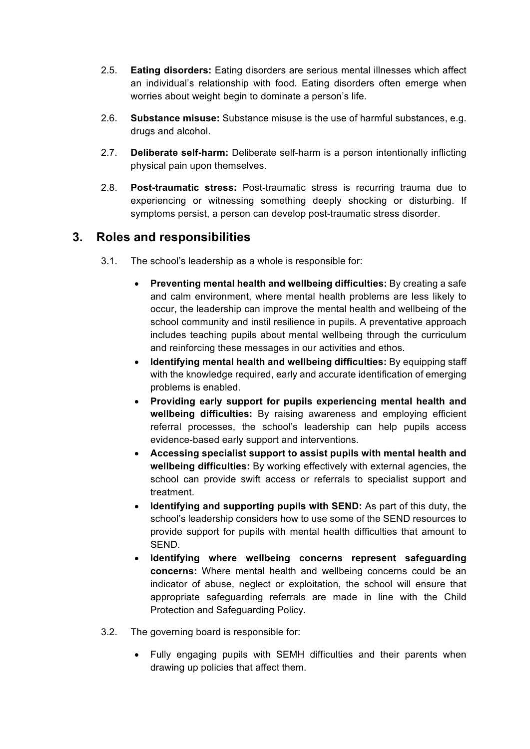- 2.5. **Eating disorders:** Eating disorders are serious mental illnesses which affect an individual's relationship with food. Eating disorders often emerge when worries about weight begin to dominate a person's life.
- 2.6. **Substance misuse:** Substance misuse is the use of harmful substances, e.g. drugs and alcohol.
- 2.7. **Deliberate self-harm:** Deliberate self-harm is a person intentionally inflicting physical pain upon themselves.
- 2.8. **Post-traumatic stress:** Post-traumatic stress is recurring trauma due to experiencing or witnessing something deeply shocking or disturbing. If symptoms persist, a person can develop post-traumatic stress disorder.

## **3. Roles and responsibilities**

- 3.1. The school's leadership as a whole is responsible for:
	- **Preventing mental health and wellbeing difficulties:** By creating a safe and calm environment, where mental health problems are less likely to occur, the leadership can improve the mental health and wellbeing of the school community and instil resilience in pupils. A preventative approach includes teaching pupils about mental wellbeing through the curriculum and reinforcing these messages in our activities and ethos.
	- **Identifying mental health and wellbeing difficulties:** By equipping staff with the knowledge required, early and accurate identification of emerging problems is enabled.
	- **Providing early support for pupils experiencing mental health and wellbeing difficulties:** By raising awareness and employing efficient referral processes, the school's leadership can help pupils access evidence-based early support and interventions.
	- **Accessing specialist support to assist pupils with mental health and wellbeing difficulties:** By working effectively with external agencies, the school can provide swift access or referrals to specialist support and treatment.
	- **Identifying and supporting pupils with SEND:** As part of this duty, the school's leadership considers how to use some of the SEND resources to provide support for pupils with mental health difficulties that amount to SEND.
	- **Identifying where wellbeing concerns represent safeguarding concerns:** Where mental health and wellbeing concerns could be an indicator of abuse, neglect or exploitation, the school will ensure that appropriate safeguarding referrals are made in line with the Child Protection and Safeguarding Policy.
- 3.2. The governing board is responsible for:
	- Fully engaging pupils with SEMH difficulties and their parents when drawing up policies that affect them.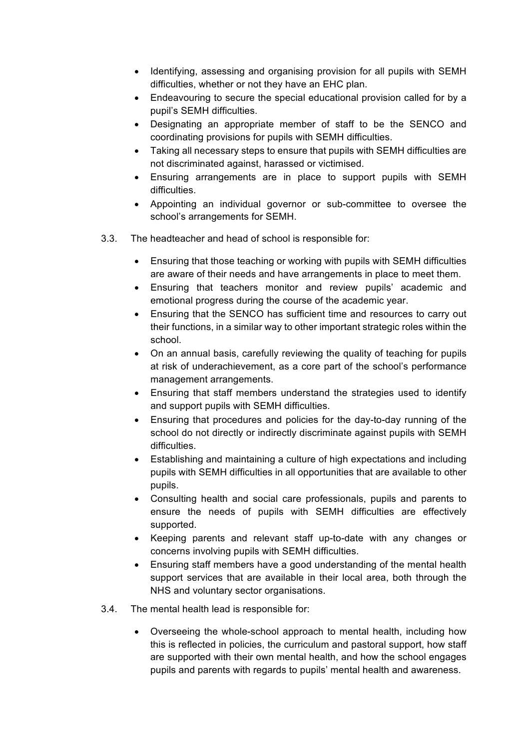- Identifying, assessing and organising provision for all pupils with SEMH difficulties, whether or not they have an EHC plan.
- Endeavouring to secure the special educational provision called for by a pupil's SEMH difficulties.
- Designating an appropriate member of staff to be the SENCO and coordinating provisions for pupils with SEMH difficulties.
- Taking all necessary steps to ensure that pupils with SEMH difficulties are not discriminated against, harassed or victimised.
- Ensuring arrangements are in place to support pupils with SEMH difficulties.
- Appointing an individual governor or sub-committee to oversee the school's arrangements for SEMH.
- 3.3. The headteacher and head of school is responsible for:
	- Ensuring that those teaching or working with pupils with SEMH difficulties are aware of their needs and have arrangements in place to meet them.
	- Ensuring that teachers monitor and review pupils' academic and emotional progress during the course of the academic year.
	- Ensuring that the SENCO has sufficient time and resources to carry out their functions, in a similar way to other important strategic roles within the school.
	- On an annual basis, carefully reviewing the quality of teaching for pupils at risk of underachievement, as a core part of the school's performance management arrangements.
	- Ensuring that staff members understand the strategies used to identify and support pupils with SEMH difficulties.
	- Ensuring that procedures and policies for the day-to-day running of the school do not directly or indirectly discriminate against pupils with SEMH difficulties.
	- Establishing and maintaining a culture of high expectations and including pupils with SEMH difficulties in all opportunities that are available to other pupils.
	- Consulting health and social care professionals, pupils and parents to ensure the needs of pupils with SEMH difficulties are effectively supported.
	- Keeping parents and relevant staff up-to-date with any changes or concerns involving pupils with SEMH difficulties.
	- Ensuring staff members have a good understanding of the mental health support services that are available in their local area, both through the NHS and voluntary sector organisations.
- 3.4. The mental health lead is responsible for:
	- Overseeing the whole-school approach to mental health, including how this is reflected in policies, the curriculum and pastoral support, how staff are supported with their own mental health, and how the school engages pupils and parents with regards to pupils' mental health and awareness.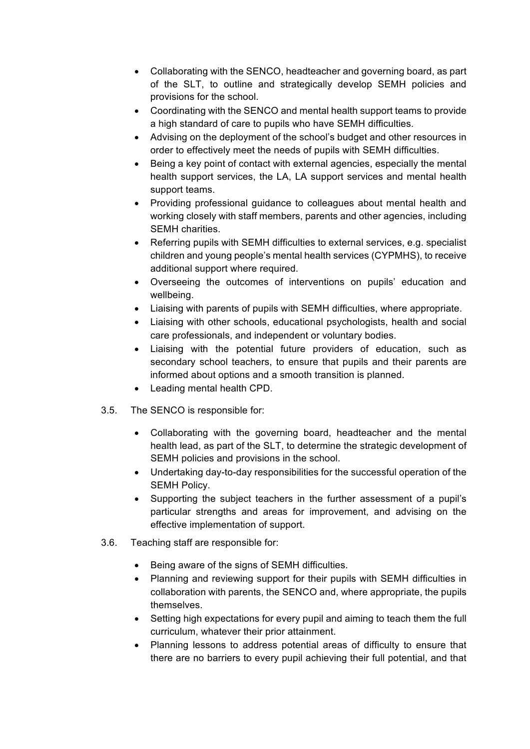- Collaborating with the SENCO, headteacher and governing board, as part of the SLT, to outline and strategically develop SEMH policies and provisions for the school.
- Coordinating with the SENCO and mental health support teams to provide a high standard of care to pupils who have SEMH difficulties.
- Advising on the deployment of the school's budget and other resources in order to effectively meet the needs of pupils with SEMH difficulties.
- Being a key point of contact with external agencies, especially the mental health support services, the LA, LA support services and mental health support teams.
- Providing professional guidance to colleagues about mental health and working closely with staff members, parents and other agencies, including SEMH charities.
- Referring pupils with SEMH difficulties to external services, e.g. specialist children and young people's mental health services (CYPMHS), to receive additional support where required.
- Overseeing the outcomes of interventions on pupils' education and wellbeing.
- Liaising with parents of pupils with SEMH difficulties, where appropriate.
- Liaising with other schools, educational psychologists, health and social care professionals, and independent or voluntary bodies.
- Liaising with the potential future providers of education, such as secondary school teachers, to ensure that pupils and their parents are informed about options and a smooth transition is planned.
- Leading mental health CPD.
- 3.5. The SENCO is responsible for:
	- Collaborating with the governing board, headteacher and the mental health lead, as part of the SLT, to determine the strategic development of SEMH policies and provisions in the school.
	- Undertaking day-to-day responsibilities for the successful operation of the SEMH Policy.
	- Supporting the subject teachers in the further assessment of a pupil's particular strengths and areas for improvement, and advising on the effective implementation of support.
- 3.6. Teaching staff are responsible for:
	- Being aware of the signs of SEMH difficulties.
	- Planning and reviewing support for their pupils with SEMH difficulties in collaboration with parents, the SENCO and, where appropriate, the pupils themselves.
	- Setting high expectations for every pupil and aiming to teach them the full curriculum, whatever their prior attainment.
	- Planning lessons to address potential areas of difficulty to ensure that there are no barriers to every pupil achieving their full potential, and that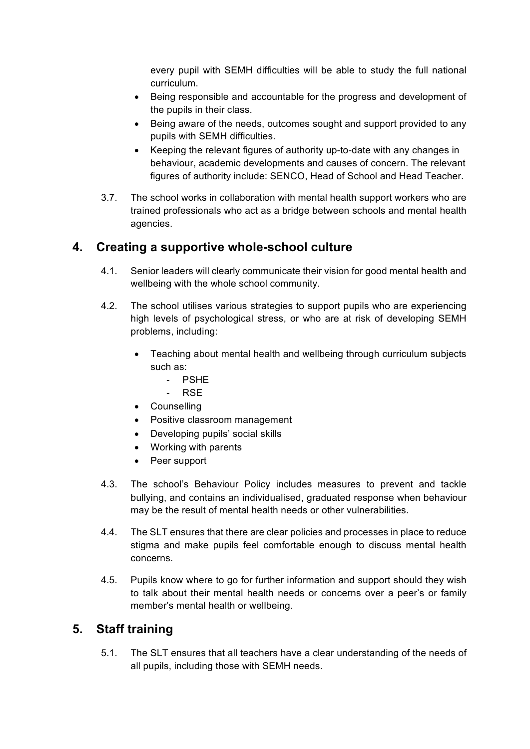every pupil with SEMH difficulties will be able to study the full national curriculum.

- Being responsible and accountable for the progress and development of the pupils in their class.
- Being aware of the needs, outcomes sought and support provided to any pupils with SEMH difficulties.
- Keeping the relevant figures of authority up-to-date with any changes in behaviour, academic developments and causes of concern. The relevant figures of authority include: SENCO, Head of School and Head Teacher.
- 3.7. The school works in collaboration with mental health support workers who are trained professionals who act as a bridge between schools and mental health agencies.

## **4. Creating a supportive whole-school culture**

- 4.1. Senior leaders will clearly communicate their vision for good mental health and wellbeing with the whole school community.
- 4.2. The school utilises various strategies to support pupils who are experiencing high levels of psychological stress, or who are at risk of developing SEMH problems, including:
	- Teaching about mental health and wellbeing through curriculum subjects such as:
		- PSHE
		- RSE
	- Counselling
	- Positive classroom management
	- Developing pupils' social skills
	- Working with parents
	- Peer support
- 4.3. The school's Behaviour Policy includes measures to prevent and tackle bullying, and contains an individualised, graduated response when behaviour may be the result of mental health needs or other vulnerabilities.
- 4.4. The SLT ensures that there are clear policies and processes in place to reduce stigma and make pupils feel comfortable enough to discuss mental health concerns.
- 4.5. Pupils know where to go for further information and support should they wish to talk about their mental health needs or concerns over a peer's or family member's mental health or wellbeing.

## **5. Staff training**

5.1. The SLT ensures that all teachers have a clear understanding of the needs of all pupils, including those with SEMH needs.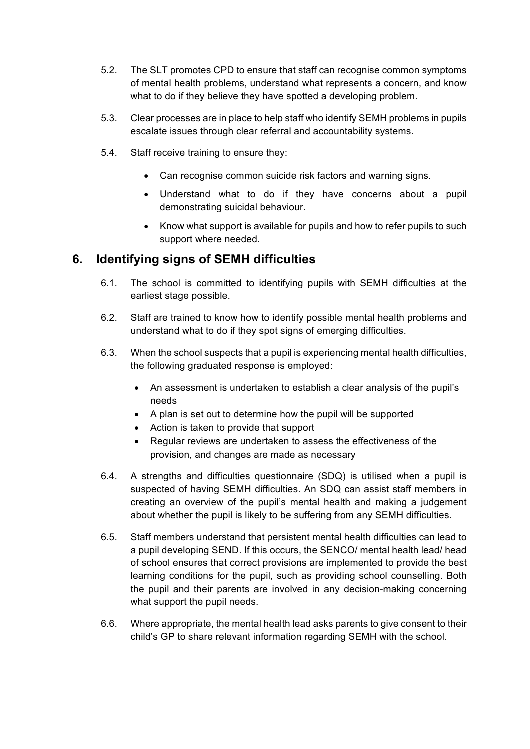- 5.2. The SLT promotes CPD to ensure that staff can recognise common symptoms of mental health problems, understand what represents a concern, and know what to do if they believe they have spotted a developing problem.
- 5.3. Clear processes are in place to help staff who identify SEMH problems in pupils escalate issues through clear referral and accountability systems.
- 5.4. Staff receive training to ensure they:
	- Can recognise common suicide risk factors and warning signs.
	- Understand what to do if they have concerns about a pupil demonstrating suicidal behaviour.
	- Know what support is available for pupils and how to refer pupils to such support where needed.

## **6. Identifying signs of SEMH difficulties**

- 6.1. The school is committed to identifying pupils with SEMH difficulties at the earliest stage possible.
- 6.2. Staff are trained to know how to identify possible mental health problems and understand what to do if they spot signs of emerging difficulties.
- 6.3. When the school suspects that a pupil is experiencing mental health difficulties, the following graduated response is employed:
	- An assessment is undertaken to establish a clear analysis of the pupil's needs
	- A plan is set out to determine how the pupil will be supported
	- Action is taken to provide that support
	- Regular reviews are undertaken to assess the effectiveness of the provision, and changes are made as necessary
- 6.4. A strengths and difficulties questionnaire (SDQ) is utilised when a pupil is suspected of having SEMH difficulties. An SDQ can assist staff members in creating an overview of the pupil's mental health and making a judgement about whether the pupil is likely to be suffering from any SEMH difficulties.
- 6.5. Staff members understand that persistent mental health difficulties can lead to a pupil developing SEND. If this occurs, the SENCO/ mental health lead/ head of school ensures that correct provisions are implemented to provide the best learning conditions for the pupil, such as providing school counselling. Both the pupil and their parents are involved in any decision-making concerning what support the pupil needs.
- 6.6. Where appropriate, the mental health lead asks parents to give consent to their child's GP to share relevant information regarding SEMH with the school.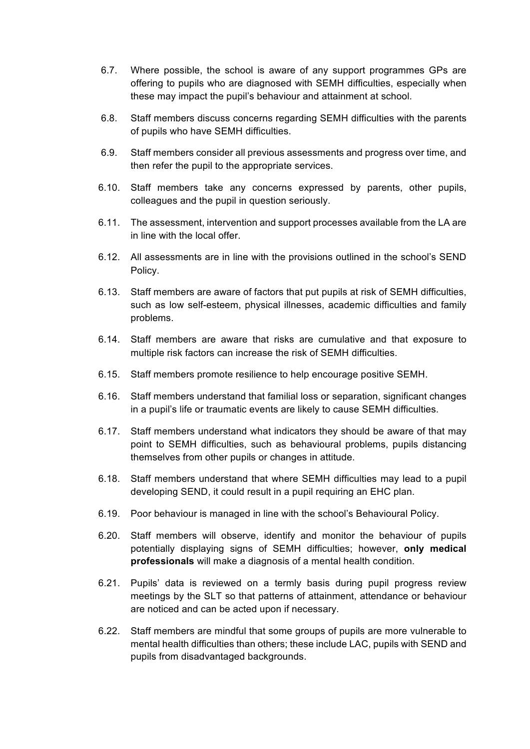- 6.7. Where possible, the school is aware of any support programmes GPs are offering to pupils who are diagnosed with SEMH difficulties, especially when these may impact the pupil's behaviour and attainment at school.
- 6.8. Staff members discuss concerns regarding SEMH difficulties with the parents of pupils who have SEMH difficulties.
- 6.9. Staff members consider all previous assessments and progress over time, and then refer the pupil to the appropriate services.
- 6.10. Staff members take any concerns expressed by parents, other pupils, colleagues and the pupil in question seriously.
- 6.11. The assessment, intervention and support processes available from the LA are in line with the local offer.
- 6.12. All assessments are in line with the provisions outlined in the school's SEND Policy.
- 6.13. Staff members are aware of factors that put pupils at risk of SEMH difficulties, such as low self-esteem, physical illnesses, academic difficulties and family problems.
- 6.14. Staff members are aware that risks are cumulative and that exposure to multiple risk factors can increase the risk of SEMH difficulties.
- 6.15. Staff members promote resilience to help encourage positive SEMH.
- 6.16. Staff members understand that familial loss or separation, significant changes in a pupil's life or traumatic events are likely to cause SEMH difficulties.
- 6.17. Staff members understand what indicators they should be aware of that may point to SEMH difficulties, such as behavioural problems, pupils distancing themselves from other pupils or changes in attitude.
- 6.18. Staff members understand that where SEMH difficulties may lead to a pupil developing SEND, it could result in a pupil requiring an EHC plan.
- 6.19. Poor behaviour is managed in line with the school's Behavioural Policy.
- 6.20. Staff members will observe, identify and monitor the behaviour of pupils potentially displaying signs of SEMH difficulties; however, **only medical professionals** will make a diagnosis of a mental health condition.
- 6.21. Pupils' data is reviewed on a termly basis during pupil progress review meetings by the SLT so that patterns of attainment, attendance or behaviour are noticed and can be acted upon if necessary.
- 6.22. Staff members are mindful that some groups of pupils are more vulnerable to mental health difficulties than others; these include LAC, pupils with SEND and pupils from disadvantaged backgrounds.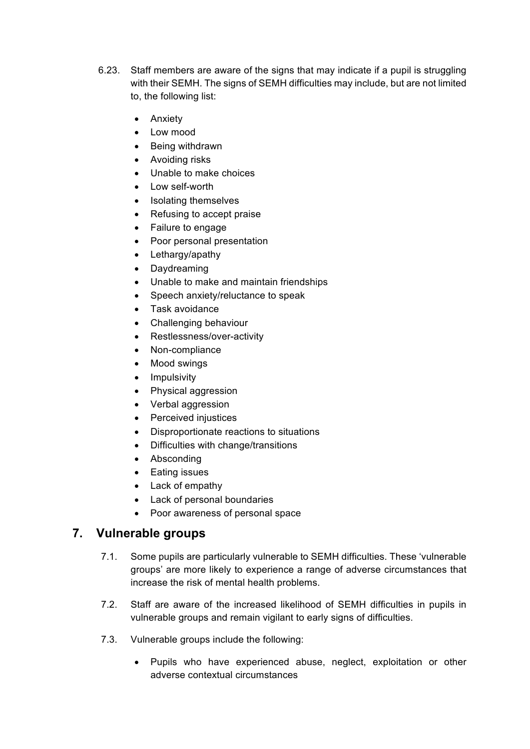- 6.23. Staff members are aware of the signs that may indicate if a pupil is struggling with their SEMH. The signs of SEMH difficulties may include, but are not limited to, the following list:
	- Anxiety
	- Low mood
	- Being withdrawn
	- Avoiding risks
	- Unable to make choices
	- Low self-worth
	- Isolating themselves
	- Refusing to accept praise
	- Failure to engage
	- Poor personal presentation
	- Lethargy/apathy
	- Daydreaming
	- Unable to make and maintain friendships
	- Speech anxiety/reluctance to speak
	- Task avoidance
	- Challenging behaviour
	- Restlessness/over-activity
	- Non-compliance
	- Mood swings
	- Impulsivity
	- Physical aggression
	- Verbal aggression
	- Perceived injustices
	- Disproportionate reactions to situations
	- Difficulties with change/transitions
	- Absconding
	- Eating issues
	- Lack of empathy
	- Lack of personal boundaries
	- Poor awareness of personal space

## **7. Vulnerable groups**

- 7.1. Some pupils are particularly vulnerable to SEMH difficulties. These 'vulnerable groups' are more likely to experience a range of adverse circumstances that increase the risk of mental health problems.
- 7.2. Staff are aware of the increased likelihood of SEMH difficulties in pupils in vulnerable groups and remain vigilant to early signs of difficulties.
- 7.3. Vulnerable groups include the following:
	- Pupils who have experienced abuse, neglect, exploitation or other adverse contextual circumstances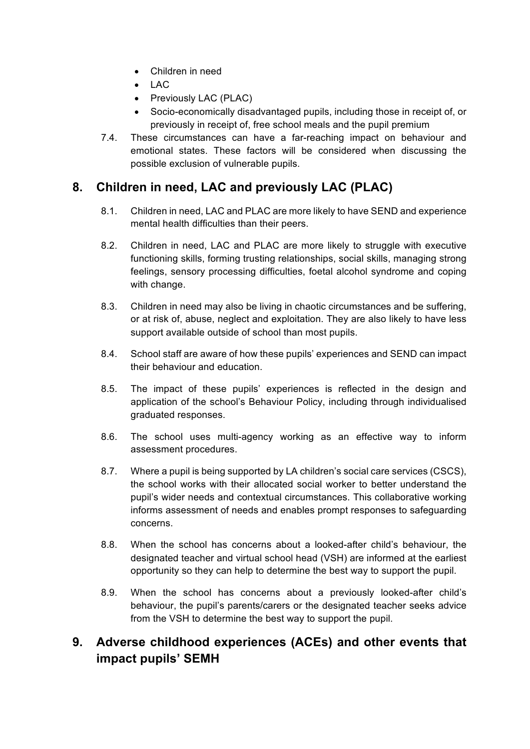- Children in need
- LAC
- Previously LAC (PLAC)
- Socio-economically disadvantaged pupils, including those in receipt of, or previously in receipt of, free school meals and the pupil premium
- 7.4. These circumstances can have a far-reaching impact on behaviour and emotional states. These factors will be considered when discussing the possible exclusion of vulnerable pupils.

## **8. Children in need, LAC and previously LAC (PLAC)**

- 8.1. Children in need, LAC and PLAC are more likely to have SEND and experience mental health difficulties than their peers.
- 8.2. Children in need, LAC and PLAC are more likely to struggle with executive functioning skills, forming trusting relationships, social skills, managing strong feelings, sensory processing difficulties, foetal alcohol syndrome and coping with change.
- 8.3. Children in need may also be living in chaotic circumstances and be suffering, or at risk of, abuse, neglect and exploitation. They are also likely to have less support available outside of school than most pupils.
- 8.4. School staff are aware of how these pupils' experiences and SEND can impact their behaviour and education.
- 8.5. The impact of these pupils' experiences is reflected in the design and application of the school's Behaviour Policy, including through individualised graduated responses.
- 8.6. The school uses multi-agency working as an effective way to inform assessment procedures.
- 8.7. Where a pupil is being supported by LA children's social care services (CSCS), the school works with their allocated social worker to better understand the pupil's wider needs and contextual circumstances. This collaborative working informs assessment of needs and enables prompt responses to safeguarding concerns.
- 8.8. When the school has concerns about a looked-after child's behaviour, the designated teacher and virtual school head (VSH) are informed at the earliest opportunity so they can help to determine the best way to support the pupil.
- 8.9. When the school has concerns about a previously looked-after child's behaviour, the pupil's parents/carers or the designated teacher seeks advice from the VSH to determine the best way to support the pupil.

# **9. Adverse childhood experiences (ACEs) and other events that impact pupils' SEMH**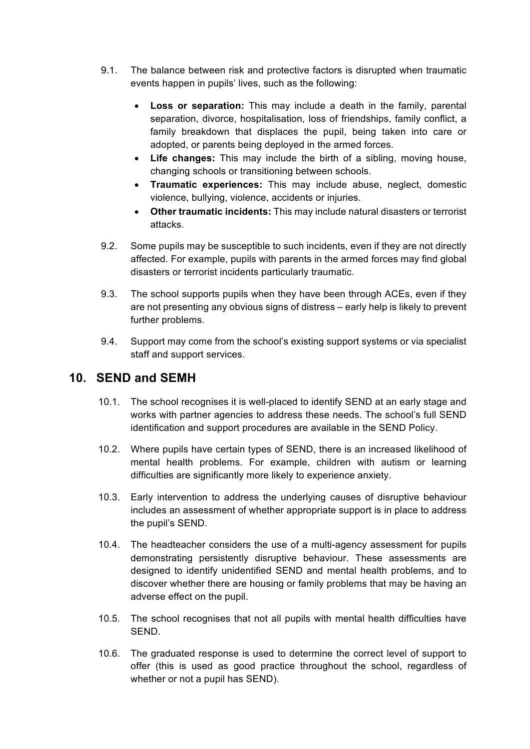- 9.1. The balance between risk and protective factors is disrupted when traumatic events happen in pupils' lives, such as the following:
	- **Loss or separation:** This may include a death in the family, parental separation, divorce, hospitalisation, loss of friendships, family conflict, a family breakdown that displaces the pupil, being taken into care or adopted, or parents being deployed in the armed forces.
	- **Life changes:** This may include the birth of a sibling, moving house, changing schools or transitioning between schools.
	- **Traumatic experiences:** This may include abuse, neglect, domestic violence, bullying, violence, accidents or injuries.
	- **Other traumatic incidents:** This may include natural disasters or terrorist attacks.
- 9.2. Some pupils may be susceptible to such incidents, even if they are not directly affected. For example, pupils with parents in the armed forces may find global disasters or terrorist incidents particularly traumatic.
- 9.3. The school supports pupils when they have been through ACEs, even if they are not presenting any obvious signs of distress – early help is likely to prevent further problems.
- 9.4. Support may come from the school's existing support systems or via specialist staff and support services.

## **10. SEND and SEMH**

- 10.1. The school recognises it is well-placed to identify SEND at an early stage and works with partner agencies to address these needs. The school's full SEND identification and support procedures are available in the SEND Policy.
- 10.2. Where pupils have certain types of SEND, there is an increased likelihood of mental health problems. For example, children with autism or learning difficulties are significantly more likely to experience anxiety.
- 10.3. Early intervention to address the underlying causes of disruptive behaviour includes an assessment of whether appropriate support is in place to address the pupil's SEND.
- 10.4. The headteacher considers the use of a multi-agency assessment for pupils demonstrating persistently disruptive behaviour. These assessments are designed to identify unidentified SEND and mental health problems, and to discover whether there are housing or family problems that may be having an adverse effect on the pupil.
- 10.5. The school recognises that not all pupils with mental health difficulties have SEND.
- 10.6. The graduated response is used to determine the correct level of support to offer (this is used as good practice throughout the school, regardless of whether or not a pupil has SEND).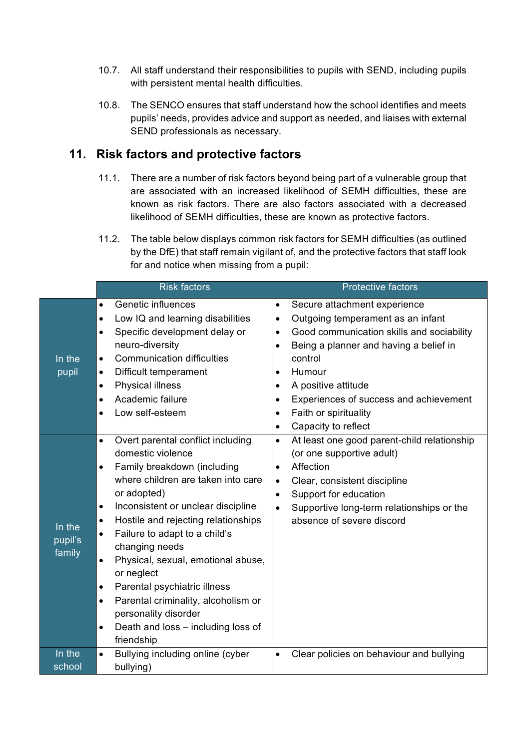- 10.7. All staff understand their responsibilities to pupils with SEND, including pupils with persistent mental health difficulties.
- 10.8. The SENCO ensures that staff understand how the school identifies and meets pupils' needs, provides advice and support as needed, and liaises with external SEND professionals as necessary.

## **11. Risk factors and protective factors**

- 11.1. There are a number of risk factors beyond being part of a vulnerable group that are associated with an increased likelihood of SEMH difficulties, these are known as risk factors. There are also factors associated with a decreased likelihood of SEMH difficulties, these are known as protective factors.
- 11.2. The table below displays common risk factors for SEMH difficulties (as outlined by the DfE) that staff remain vigilant of, and the protective factors that staff look for and notice when missing from a pupil:

|                             | <b>Risk factors</b>                                                                                                                                                                                                                                                                                                                                                                                                                                                                                                                                                                                    | <b>Protective factors</b>                                                                                                                                                                                                                                                                                                                                                                                           |  |
|-----------------------------|--------------------------------------------------------------------------------------------------------------------------------------------------------------------------------------------------------------------------------------------------------------------------------------------------------------------------------------------------------------------------------------------------------------------------------------------------------------------------------------------------------------------------------------------------------------------------------------------------------|---------------------------------------------------------------------------------------------------------------------------------------------------------------------------------------------------------------------------------------------------------------------------------------------------------------------------------------------------------------------------------------------------------------------|--|
| In the<br>pupil             | Genetic influences<br>$\bullet$<br>Low IQ and learning disabilities<br>$\bullet$<br>Specific development delay or<br>$\bullet$<br>neuro-diversity<br><b>Communication difficulties</b><br>$\bullet$<br>Difficult temperament<br>$\bullet$<br><b>Physical illness</b><br>$\bullet$<br>Academic failure<br>$\bullet$<br>Low self-esteem<br>$\bullet$                                                                                                                                                                                                                                                     | Secure attachment experience<br>$\bullet$<br>Outgoing temperament as an infant<br>$\bullet$<br>Good communication skills and sociability<br>$\bullet$<br>Being a planner and having a belief in<br>$\bullet$<br>control<br>Humour<br>$\bullet$<br>A positive attitude<br>$\bullet$<br>Experiences of success and achievement<br>$\bullet$<br>Faith or spirituality<br>$\bullet$<br>Capacity to reflect<br>$\bullet$ |  |
| In the<br>pupil's<br>family | Overt parental conflict including<br>$\bullet$<br>domestic violence<br>Family breakdown (including<br>$\bullet$<br>where children are taken into care<br>or adopted)<br>Inconsistent or unclear discipline<br>$\bullet$<br>Hostile and rejecting relationships<br>$\bullet$<br>Failure to adapt to a child's<br>$\bullet$<br>changing needs<br>Physical, sexual, emotional abuse,<br>$\bullet$<br>or neglect<br>Parental psychiatric illness<br>$\bullet$<br>Parental criminality, alcoholism or<br>$\bullet$<br>personality disorder<br>Death and loss - including loss of<br>$\bullet$<br>friendship | At least one good parent-child relationship<br>$\bullet$<br>(or one supportive adult)<br>Affection<br>$\bullet$<br>Clear, consistent discipline<br>$\bullet$<br>Support for education<br>$\bullet$<br>Supportive long-term relationships or the<br>$\bullet$<br>absence of severe discord                                                                                                                           |  |
| In the<br>school            | Bullying including online (cyber<br>$\bullet$<br>bullying)                                                                                                                                                                                                                                                                                                                                                                                                                                                                                                                                             | Clear policies on behaviour and bullying<br>$\bullet$                                                                                                                                                                                                                                                                                                                                                               |  |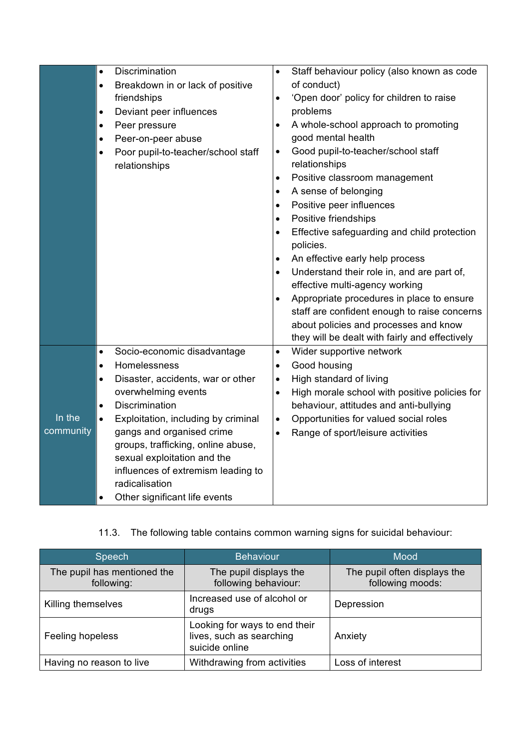|                     | Discrimination<br>$\bullet$<br>Breakdown in or lack of positive<br>$\bullet$<br>friendships<br>Deviant peer influences<br>$\bullet$<br>Peer pressure<br>$\bullet$<br>Peer-on-peer abuse<br>$\bullet$<br>Poor pupil-to-teacher/school staff<br>$\bullet$<br>relationships                                                                                                                                                    | Staff behaviour policy (also known as code<br>$\bullet$<br>of conduct)<br>'Open door' policy for children to raise<br>$\bullet$<br>problems<br>A whole-school approach to promoting<br>$\bullet$<br>good mental health<br>Good pupil-to-teacher/school staff<br>$\bullet$<br>relationships<br>Positive classroom management<br>$\bullet$<br>A sense of belonging<br>$\bullet$<br>Positive peer influences<br>$\bullet$<br>Positive friendships<br>$\bullet$<br>Effective safeguarding and child protection<br>$\bullet$<br>policies.<br>An effective early help process<br>Understand their role in, and are part of,<br>$\bullet$<br>effective multi-agency working<br>Appropriate procedures in place to ensure<br>$\bullet$<br>staff are confident enough to raise concerns<br>about policies and processes and know<br>they will be dealt with fairly and effectively |
|---------------------|-----------------------------------------------------------------------------------------------------------------------------------------------------------------------------------------------------------------------------------------------------------------------------------------------------------------------------------------------------------------------------------------------------------------------------|---------------------------------------------------------------------------------------------------------------------------------------------------------------------------------------------------------------------------------------------------------------------------------------------------------------------------------------------------------------------------------------------------------------------------------------------------------------------------------------------------------------------------------------------------------------------------------------------------------------------------------------------------------------------------------------------------------------------------------------------------------------------------------------------------------------------------------------------------------------------------|
| In the<br>community | Socio-economic disadvantage<br>$\bullet$<br>Homelessness<br>$\bullet$<br>Disaster, accidents, war or other<br>٠<br>overwhelming events<br><b>Discrimination</b><br>$\bullet$<br>Exploitation, including by criminal<br>$\bullet$<br>gangs and organised crime<br>groups, trafficking, online abuse,<br>sexual exploitation and the<br>influences of extremism leading to<br>radicalisation<br>Other significant life events | Wider supportive network<br>$\bullet$<br>Good housing<br>$\bullet$<br>High standard of living<br>$\bullet$<br>High morale school with positive policies for<br>$\bullet$<br>behaviour, attitudes and anti-bullying<br>Opportunities for valued social roles<br>$\bullet$<br>Range of sport/leisure activities<br>$\bullet$                                                                                                                                                                                                                                                                                                                                                                                                                                                                                                                                                |

## 11.3. The following table contains common warning signs for suicidal behaviour:

| Speech                                    | <b>Behaviour</b>                                                            | Mood                                             |
|-------------------------------------------|-----------------------------------------------------------------------------|--------------------------------------------------|
| The pupil has mentioned the<br>following: | The pupil displays the<br>following behaviour:                              | The pupil often displays the<br>following moods: |
| Killing themselves                        | Increased use of alcohol or<br>drugs                                        | Depression                                       |
| Feeling hopeless                          | Looking for ways to end their<br>lives, such as searching<br>suicide online | Anxiety                                          |
| Having no reason to live                  | Withdrawing from activities                                                 | Loss of interest                                 |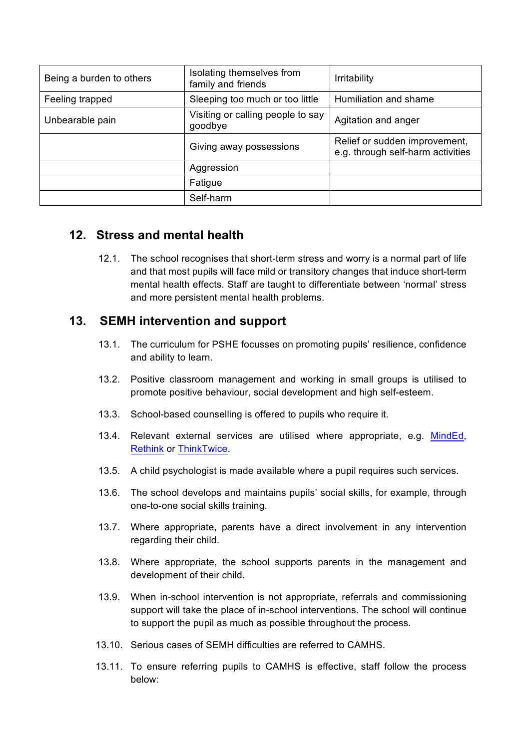| Being a burden to others | Isolating themselves from<br>family and friends | <b>Irritability</b>                                                |
|--------------------------|-------------------------------------------------|--------------------------------------------------------------------|
| Feeling trapped          | Sleeping too much or too little                 | Humiliation and shame                                              |
| Unbearable pain          | Visiting or calling people to say<br>goodbye    | Agitation and anger                                                |
|                          | Giving away possessions                         | Relief or sudden improvement,<br>e.g. through self-harm activities |
|                          | Aggression                                      |                                                                    |
|                          | Fatigue                                         |                                                                    |
|                          | Self-harm                                       |                                                                    |

## **12. Stress and mental health**

12.1. The school recognises that short-term stress and worry is a normal part of life and that most pupils will face mild or transitory changes that induce short-term mental health effects. Staff are taught to differentiate between 'normal' stress and more persistent mental health problems.

## **13. SEMH intervention and support**

- 13.1. The curriculum for PSHE focusses on promoting pupils' resilience, confidence and ability to learn.
- 13.2. Positive classroom management and working in small groups is utilised to promote positive behaviour, social development and high self-esteem.
- 13.3. School-based counselling is offered to pupils who require it.
- 13.4. Relevant external services are utilised where appropriate, e.g. MindEd, Rethink or ThinkTwice.
- 13.5. A child psychologist is made available where a pupil requires such services.
- 13.6. The school develops and maintains pupils' social skills, for example, through one-to-one social skills training.
- 13.7. Where appropriate, parents have a direct involvement in any intervention regarding their child.
- 13.8. Where appropriate, the school supports parents in the management and development of their child.
- 13.9. When in-school intervention is not appropriate, referrals and commissioning support will take the place of in-school interventions. The school will continue to support the pupil as much as possible throughout the process.
- 13.10. Serious cases of SEMH difficulties are referred to CAMHS.
- 13.11. To ensure referring pupils to CAMHS is effective, staff follow the process below: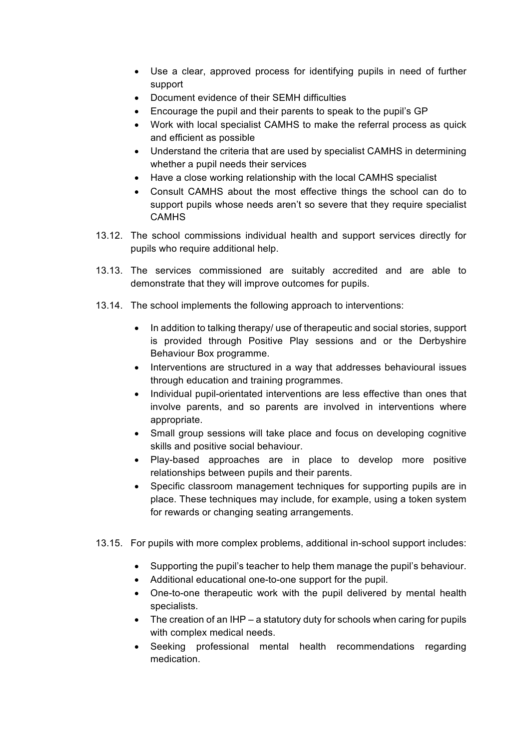- Use a clear, approved process for identifying pupils in need of further support
- Document evidence of their SEMH difficulties
- Encourage the pupil and their parents to speak to the pupil's GP
- Work with local specialist CAMHS to make the referral process as quick and efficient as possible
- Understand the criteria that are used by specialist CAMHS in determining whether a pupil needs their services
- Have a close working relationship with the local CAMHS specialist
- Consult CAMHS about the most effective things the school can do to support pupils whose needs aren't so severe that they require specialist **CAMHS**
- 13.12. The school commissions individual health and support services directly for pupils who require additional help.
- 13.13. The services commissioned are suitably accredited and are able to demonstrate that they will improve outcomes for pupils.
- 13.14. The school implements the following approach to interventions:
	- In addition to talking therapy/ use of therapeutic and social stories, support is provided through Positive Play sessions and or the Derbyshire Behaviour Box programme.
	- Interventions are structured in a way that addresses behavioural issues through education and training programmes.
	- Individual pupil-orientated interventions are less effective than ones that involve parents, and so parents are involved in interventions where appropriate.
	- Small group sessions will take place and focus on developing cognitive skills and positive social behaviour.
	- Play-based approaches are in place to develop more positive relationships between pupils and their parents.
	- Specific classroom management techniques for supporting pupils are in place. These techniques may include, for example, using a token system for rewards or changing seating arrangements.
- 13.15. For pupils with more complex problems, additional in-school support includes:
	- Supporting the pupil's teacher to help them manage the pupil's behaviour.
	- Additional educational one-to-one support for the pupil.
	- One-to-one therapeutic work with the pupil delivered by mental health specialists.
	- The creation of an IHP a statutory duty for schools when caring for pupils with complex medical needs.
	- Seeking professional mental health recommendations regarding medication.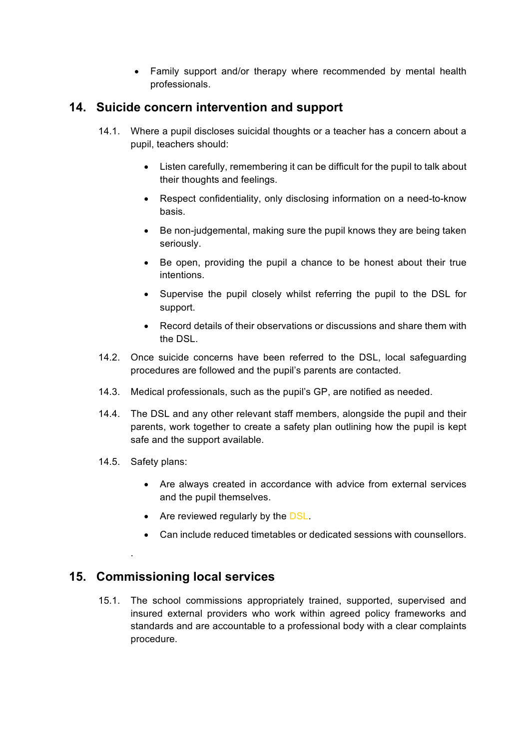• Family support and/or therapy where recommended by mental health professionals.

## **14. Suicide concern intervention and support**

- 14.1. Where a pupil discloses suicidal thoughts or a teacher has a concern about a pupil, teachers should:
	- Listen carefully, remembering it can be difficult for the pupil to talk about their thoughts and feelings.
	- Respect confidentiality, only disclosing information on a need-to-know basis.
	- Be non-judgemental, making sure the pupil knows they are being taken seriously.
	- Be open, providing the pupil a chance to be honest about their true intentions.
	- Supervise the pupil closely whilst referring the pupil to the DSL for support.
	- Record details of their observations or discussions and share them with the DSL.
- 14.2. Once suicide concerns have been referred to the DSL, local safeguarding procedures are followed and the pupil's parents are contacted.
- 14.3. Medical professionals, such as the pupil's GP, are notified as needed.
- 14.4. The DSL and any other relevant staff members, alongside the pupil and their parents, work together to create a safety plan outlining how the pupil is kept safe and the support available.
- 14.5. Safety plans:

.

- Are always created in accordance with advice from external services and the pupil themselves.
- Are reviewed regularly by the DSL.
- Can include reduced timetables or dedicated sessions with counsellors.

## **15. Commissioning local services**

15.1. The school commissions appropriately trained, supported, supervised and insured external providers who work within agreed policy frameworks and standards and are accountable to a professional body with a clear complaints procedure.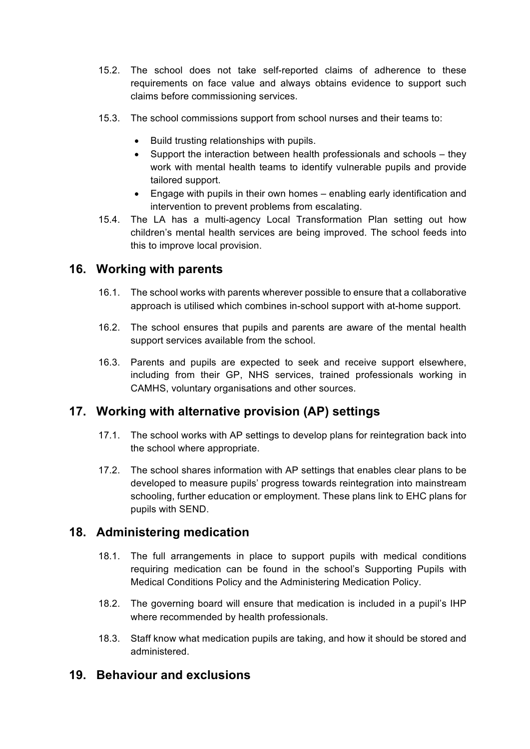- 15.2. The school does not take self-reported claims of adherence to these requirements on face value and always obtains evidence to support such claims before commissioning services.
- 15.3. The school commissions support from school nurses and their teams to:
	- Build trusting relationships with pupils.
	- Support the interaction between health professionals and schools they work with mental health teams to identify vulnerable pupils and provide tailored support.
	- Engage with pupils in their own homes enabling early identification and intervention to prevent problems from escalating.
- 15.4. The LA has a multi-agency Local Transformation Plan setting out how children's mental health services are being improved. The school feeds into this to improve local provision.

## **16. Working with parents**

- 16.1. The school works with parents wherever possible to ensure that a collaborative approach is utilised which combines in-school support with at-home support.
- 16.2. The school ensures that pupils and parents are aware of the mental health support services available from the school.
- 16.3. Parents and pupils are expected to seek and receive support elsewhere, including from their GP, NHS services, trained professionals working in CAMHS, voluntary organisations and other sources.

## **17. Working with alternative provision (AP) settings**

- 17.1. The school works with AP settings to develop plans for reintegration back into the school where appropriate.
- 17.2. The school shares information with AP settings that enables clear plans to be developed to measure pupils' progress towards reintegration into mainstream schooling, further education or employment. These plans link to EHC plans for pupils with SEND.

## **18. Administering medication**

- 18.1. The full arrangements in place to support pupils with medical conditions requiring medication can be found in the school's Supporting Pupils with Medical Conditions Policy and the Administering Medication Policy.
- 18.2. The governing board will ensure that medication is included in a pupil's IHP where recommended by health professionals.
- 18.3. Staff know what medication pupils are taking, and how it should be stored and administered.

## **19. Behaviour and exclusions**